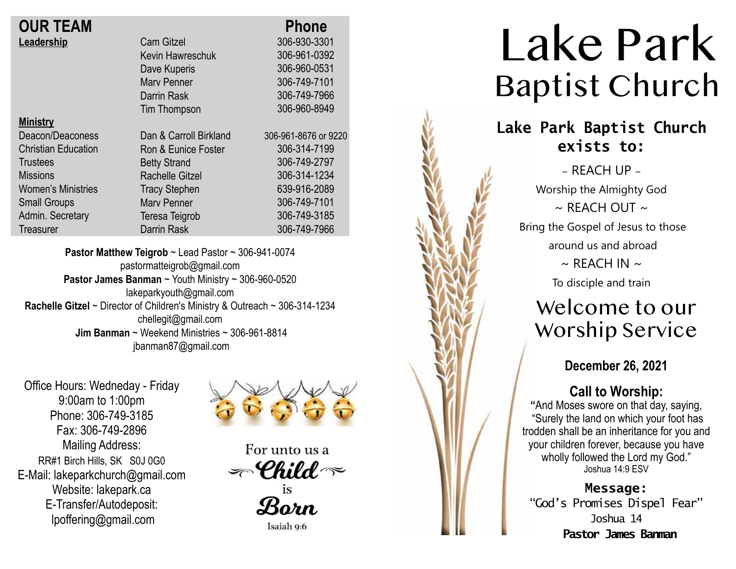| <b>OUR TEAM</b> |  |
|-----------------|--|
| Leadership      |  |

| <b>OUR TEAM</b>            |                        | <b>Phone</b>      |
|----------------------------|------------------------|-------------------|
| Leadership                 | <b>Cam Gitzel</b>      | 306-930-3301      |
|                            | Kevin Hawreschuk       | 306-961-0392      |
|                            | Dave Kuperis           | 306-960-0531      |
|                            | <b>Mary Penner</b>     | 306-749-7101      |
|                            | Darrin Rask            | 306-749-7966      |
|                            | <b>Tim Thompson</b>    | 306-960-8949      |
| <b>Ministry</b>            |                        |                   |
| Deacon/Deaconess           | Dan & Carroll Birkland | 306-961-8676 or 9 |
| <b>Christian Education</b> | Ron & Eunice Foster    | 306-314-7199      |
| <b>Trustees</b>            | <b>Betty Strand</b>    | 306-749-2797      |
| <b>Missions</b>            | <b>Rachelle Gitzel</b> | 306-314-1234      |
| <b>Women's Ministries</b>  | <b>Tracy Stephen</b>   | 639-916-2089      |
| <b>Small Groups</b>        | <b>Marv Penner</b>     | 306-749-7101      |
| Admin. Secretary           | Teresa Teigrob         | 306-749-3185      |
| Treasurer                  | Darrin Rask            | 306-749-7966      |
|                            |                        |                   |

**Pastor Matthew Teigrob** ~ Lead Pastor ~ 306-941-0074 pastormatteigrob@gmail.com **Pastor James Banman** ~ Youth Ministry ~ 306-960-0520 lakeparkyouth@gmail.com **Rachelle Gitzel** ~ Director of Children's Ministry & Outreach ~ 306-314-1234 chellegit@gmail.com  **Jim Banman** ~ Weekend Ministries ~ 306-961-8814 jbanman87@gmail.com

Office Hours: Wedneday - Friday 9:00am to 1:00pm Phone: 306-749-3185 Fax: 306-749-2896 Mailing Address: RR#1 Birch Hills, SK S0J 0G0 E-Mail: lakeparkchurch@gmail.com Website: lakepark.ca E-Transfer/Autodeposit: lpoffering@gmail.com



9220

For unto us a  $\textcolor{black}{\mathcal{P}}$ Child  $\textcolor{black}{\mathcal{P}}$ is

Born

Isaiah 9:6